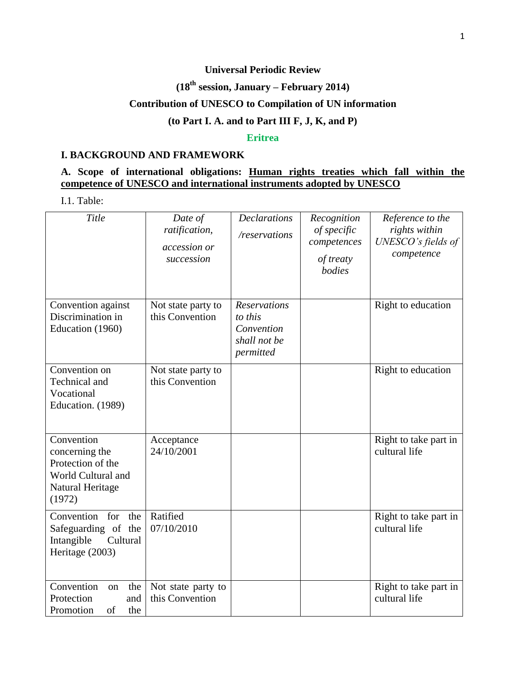# **Universal Periodic Review**

# **(18th session, January – February 2014)**

## **Contribution of UNESCO to Compilation of UN information**

#### **(to Part I. A. and to Part III F, J, K, and P)**

#### **Eritrea**

#### **I. BACKGROUND AND FRAMEWORK**

# **A. Scope of international obligations: Human rights treaties which fall within the competence of UNESCO and international instruments adopted by UNESCO**

I.1. Table:

| Title                                                                                                 | Date of<br>ratification,<br>accession or<br>succession | <b>Declarations</b><br>/reservations                                      | Recognition<br>of specific<br>competences<br>of treaty<br>bodies | Reference to the<br>rights within<br>UNESCO's fields of<br>competence |
|-------------------------------------------------------------------------------------------------------|--------------------------------------------------------|---------------------------------------------------------------------------|------------------------------------------------------------------|-----------------------------------------------------------------------|
| Convention against<br>Discrimination in<br>Education (1960)                                           | Not state party to<br>this Convention                  | <b>Reservations</b><br>to this<br>Convention<br>shall not be<br>permitted |                                                                  | Right to education                                                    |
| Convention on<br>Technical and<br>Vocational<br>Education. (1989)                                     | Not state party to<br>this Convention                  |                                                                           |                                                                  | Right to education                                                    |
| Convention<br>concerning the<br>Protection of the<br>World Cultural and<br>Natural Heritage<br>(1972) | Acceptance<br>24/10/2001                               |                                                                           |                                                                  | Right to take part in<br>cultural life                                |
| Convention<br>for<br>the<br>Safeguarding of the<br>Intangible<br>Cultural<br>Heritage (2003)          | Ratified<br>07/10/2010                                 |                                                                           |                                                                  | Right to take part in<br>cultural life                                |
| Convention<br>the<br>on<br>Protection<br>and<br>Promotion<br>of<br>the                                | Not state party to<br>this Convention                  |                                                                           |                                                                  | Right to take part in<br>cultural life                                |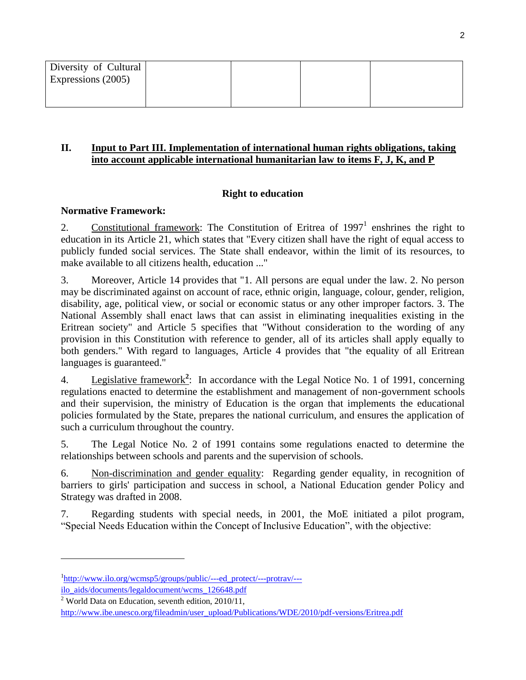| Diversity of Cultural<br>Expressions (2005) |  |  |
|---------------------------------------------|--|--|
|                                             |  |  |

#### **II. Input to Part III. Implementation of international human rights obligations, taking into account applicable international humanitarian law to items F, J, K, and P**

# **Right to education**

#### **Normative Framework:**

2. Constitutional framework: The Constitution of Eritrea of  $1997<sup>1</sup>$  enshrines the right to education in its Article 21, which states that "Every citizen shall have the right of equal access to publicly funded social services. The State shall endeavor, within the limit of its resources, to make available to all citizens health, education ..."

3. Moreover, Article 14 provides that "1. All persons are equal under the law. 2. No person may be discriminated against on account of race, ethnic origin, language, colour, gender, religion, disability, age, political view, or social or economic status or any other improper factors. 3. The National Assembly shall enact laws that can assist in eliminating inequalities existing in the Eritrean society" and Article 5 specifies that "Without consideration to the wording of any provision in this Constitution with reference to gender, all of its articles shall apply equally to both genders." With regard to languages, Article 4 provides that "the equality of all Eritrean languages is guaranteed."

4. Legislative framework<sup>2</sup>: In accordance with the Legal Notice No. 1 of 1991, concerning regulations enacted to determine the establishment and management of non-government schools and their supervision, the ministry of Education is the organ that implements the educational policies formulated by the State, prepares the national curriculum, and ensures the application of such a curriculum throughout the country.

5. The Legal Notice No. 2 of 1991 contains some regulations enacted to determine the relationships between schools and parents and the supervision of schools.

6. Non-discrimination and gender equality: Regarding gender equality, in recognition of barriers to girls' participation and success in school, a National Education gender Policy and Strategy was drafted in 2008.

7. Regarding students with special needs, in 2001, the MoE initiated a pilot program, "Special Needs Education within the Concept of Inclusive Education", with the objective:

l

<sup>&</sup>lt;sup>1</sup>[http://www.ilo.org/wcmsp5/groups/public/---ed\\_protect/---protrav/--](http://www.ilo.org/wcmsp5/groups/public/---ed_protect/---protrav/---ilo_aids/documents/legaldocument/wcms_126648.pdf) [ilo\\_aids/documents/legaldocument/wcms\\_126648.pdf](http://www.ilo.org/wcmsp5/groups/public/---ed_protect/---protrav/---ilo_aids/documents/legaldocument/wcms_126648.pdf)

<sup>&</sup>lt;sup>2</sup> World Data on Education, seventh edition,  $2010/11$ ,

[http://www.ibe.unesco.org/fileadmin/user\\_upload/Publications/WDE/2010/pdf-versions/Eritrea.pdf](http://www.ibe.unesco.org/fileadmin/user_upload/Publications/WDE/2010/pdf-versions/Eritrea.pdf)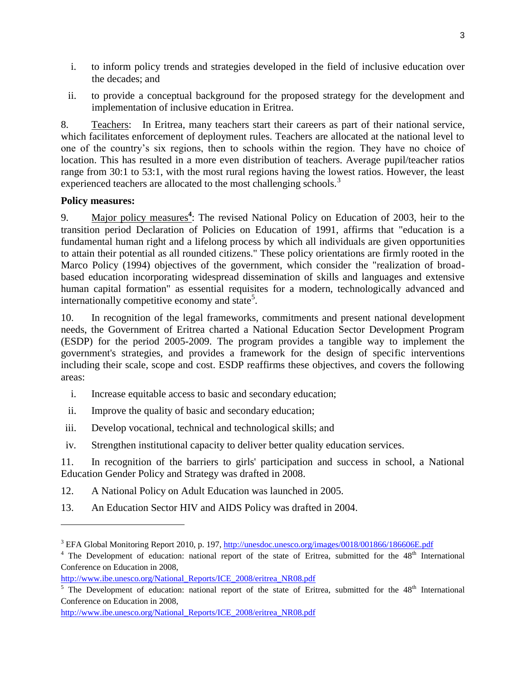- i. to inform policy trends and strategies developed in the field of inclusive education over the decades; and
- ii. to provide a conceptual background for the proposed strategy for the development and implementation of inclusive education in Eritrea.

8. Teachers: In Eritrea, many teachers start their careers as part of their national service, which facilitates enforcement of deployment rules. Teachers are allocated at the national level to one of the country's six regions, then to schools within the region. They have no choice of location. This has resulted in a more even distribution of teachers. Average pupil/teacher ratios range from 30:1 to 53:1, with the most rural regions having the lowest ratios. However, the least experienced teachers are allocated to the most challenging schools.<sup>3</sup>

### **Policy measures:**

 $\overline{\phantom{a}}$ 

9. Major policy measures**<sup>4</sup>** : The revised National Policy on Education of 2003, heir to the transition period Declaration of Policies on Education of 1991, affirms that "education is a fundamental human right and a lifelong process by which all individuals are given opportunities to attain their potential as all rounded citizens." These policy orientations are firmly rooted in the Marco Policy (1994) objectives of the government, which consider the "realization of broadbased education incorporating widespread dissemination of skills and languages and extensive human capital formation" as essential requisites for a modern, technologically advanced and internationally competitive economy and state<sup>5</sup>.

10. In recognition of the legal frameworks, commitments and present national development needs, the Government of Eritrea charted a National Education Sector Development Program (ESDP) for the period 2005-2009. The program provides a tangible way to implement the government's strategies, and provides a framework for the design of specific interventions including their scale, scope and cost. ESDP reaffirms these objectives, and covers the following areas:

- i. Increase equitable access to basic and secondary education;
- ii. Improve the quality of basic and secondary education;
- iii. Develop vocational, technical and technological skills; and
- iv. Strengthen institutional capacity to deliver better quality education services.

11. In recognition of the barriers to girls' participation and success in school, a National Education Gender Policy and Strategy was drafted in 2008.

12. A National Policy on Adult Education was launched in 2005.

13. An Education Sector HIV and AIDS Policy was drafted in 2004.

 $4$  The Development of education: national report of the state of Eritrea, submitted for the  $48<sup>th</sup>$  International Conference on Education in 2008,

[http://www.ibe.unesco.org/National\\_Reports/ICE\\_2008/eritrea\\_NR08.pdf](http://www.ibe.unesco.org/National_Reports/ICE_2008/eritrea_NR08.pdf)

<sup>&</sup>lt;sup>3</sup> EFA Global Monitoring Report 2010, p. 197,<http://unesdoc.unesco.org/images/0018/001866/186606E.pdf>

[http://www.ibe.unesco.org/National\\_Reports/ICE\\_2008/eritrea\\_NR08.pdf](http://www.ibe.unesco.org/National_Reports/ICE_2008/eritrea_NR08.pdf)

<sup>&</sup>lt;sup>5</sup> The Development of education: national report of the state of Eritrea, submitted for the  $48<sup>th</sup>$  International Conference on Education in 2008,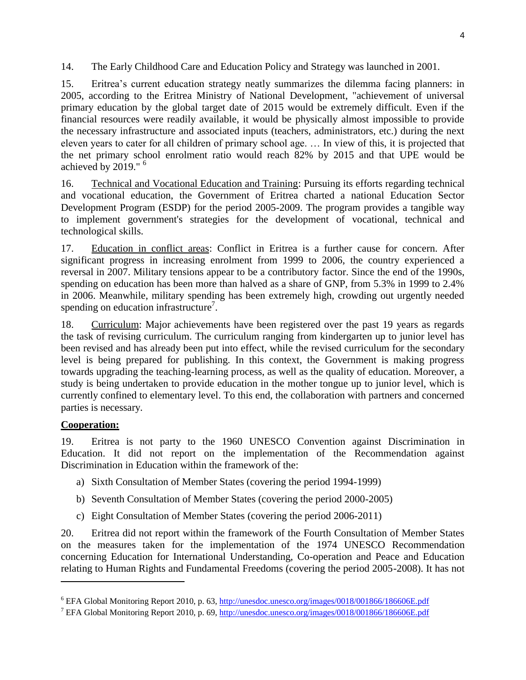14. The Early Childhood Care and Education Policy and Strategy was launched in 2001.

15. Eritrea's current education strategy neatly summarizes the dilemma facing planners: in 2005, according to the Eritrea Ministry of National Development, "achievement of universal primary education by the global target date of 2015 would be extremely difficult. Even if the financial resources were readily available, it would be physically almost impossible to provide the necessary infrastructure and associated inputs (teachers, administrators, etc.) during the next eleven years to cater for all children of primary school age. … In view of this, it is projected that the net primary school enrolment ratio would reach 82% by 2015 and that UPE would be achieved by 2019." <sup>6</sup>

16. Technical and Vocational Education and Training: Pursuing its efforts regarding technical and vocational education, the Government of Eritrea charted a national Education Sector Development Program (ESDP) for the period 2005-2009. The program provides a tangible way to implement government's strategies for the development of vocational, technical and technological skills.

17. Education in conflict areas: Conflict in Eritrea is a further cause for concern. After significant progress in increasing enrolment from 1999 to 2006, the country experienced a reversal in 2007. Military tensions appear to be a contributory factor. Since the end of the 1990s, spending on education has been more than halved as a share of GNP, from 5.3% in 1999 to 2.4% in 2006. Meanwhile, military spending has been extremely high, crowding out urgently needed spending on education infrastructure<sup>7</sup>.

18. Curriculum: Major achievements have been registered over the past 19 years as regards the task of revising curriculum. The curriculum ranging from kindergarten up to junior level has been revised and has already been put into effect, while the revised curriculum for the secondary level is being prepared for publishing. In this context, the Government is making progress towards upgrading the teaching-learning process, as well as the quality of education. Moreover, a study is being undertaken to provide education in the mother tongue up to junior level, which is currently confined to elementary level. To this end, the collaboration with partners and concerned parties is necessary.

### **Cooperation:**

 $\overline{\phantom{a}}$ 

19. Eritrea is not party to the 1960 UNESCO Convention against Discrimination in Education. It did not report on the implementation of the Recommendation against Discrimination in Education within the framework of the:

- a) Sixth Consultation of Member States (covering the period 1994-1999)
- b) Seventh Consultation of Member States (covering the period 2000-2005)
- c) Eight Consultation of Member States (covering the period 2006-2011)

20. Eritrea did not report within the framework of the Fourth Consultation of Member States on the measures taken for the implementation of the 1974 UNESCO Recommendation concerning Education for International Understanding, Co-operation and Peace and Education relating to Human Rights and Fundamental Freedoms (covering the period 2005-2008). It has not

<sup>6</sup> EFA Global Monitoring Report 2010, p. 63,<http://unesdoc.unesco.org/images/0018/001866/186606E.pdf>

<sup>7</sup> EFA Global Monitoring Report 2010, p. 69,<http://unesdoc.unesco.org/images/0018/001866/186606E.pdf>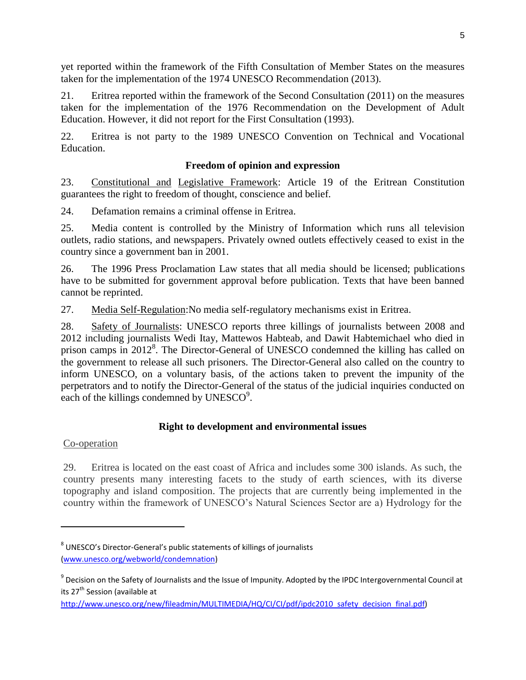yet reported within the framework of the Fifth Consultation of Member States on the measures taken for the implementation of the 1974 UNESCO Recommendation (2013).

21. Eritrea reported within the framework of the Second Consultation (2011) on the measures taken for the implementation of the 1976 Recommendation on the Development of Adult Education. However, it did not report for the First Consultation (1993).

22. Eritrea is not party to the 1989 UNESCO Convention on Technical and Vocational Education.

## **Freedom of opinion and expression**

23. Constitutional and Legislative Framework: Article 19 of the Eritrean Constitution guarantees the right to freedom of thought, conscience and belief.

24. Defamation remains a criminal offense in Eritrea.

25. Media content is controlled by the Ministry of Information which runs all television outlets, radio stations, and newspapers. Privately owned outlets effectively ceased to exist in the country since a government ban in 2001.

26. The 1996 Press Proclamation Law states that all media should be licensed; publications have to be submitted for government approval before publication. Texts that have been banned cannot be reprinted.

27. Media Self-Regulation:No media self-regulatory mechanisms exist in Eritrea.

28. Safety of Journalists: UNESCO reports three killings of journalists between 2008 and 2012 including journalists Wedi Itay, Mattewos Habteab, and Dawit Habtemichael who died in prison camps in 2012<sup>8</sup>. The Director-General of UNESCO condemned the killing has called on the government to release all such prisoners. The Director-General also called on the country to inform UNESCO, on a voluntary basis, of the actions taken to prevent the impunity of the perpetrators and to notify the Director-General of the status of the judicial inquiries conducted on each of the killings condemned by  $UNESCO<sup>9</sup>$ .

### **Right to development and environmental issues**

# Co-operation

 $\overline{\phantom{a}}$ 

29. Eritrea is located on the east coast of Africa and includes some 300 islands. As such, the country presents many interesting facets to the study of earth sciences, with its diverse topography and island composition. The projects that are currently being implemented in the country within the framework of UNESCO's Natural Sciences Sector are a) Hydrology for the

 $^8$  UNESCO's Director-General's public statements of killings of journalists [\(www.unesco.org/webworld/condemnation\)](http://www.unesco.org/webworld/condemnation)

<sup>&</sup>lt;sup>9</sup> Decision on the Safety of Journalists and the Issue of Impunity. Adopted by the IPDC Intergovernmental Council at its 27<sup>th</sup> Session (available at

[http://www.unesco.org/new/fileadmin/MULTIMEDIA/HQ/CI/CI/pdf/ipdc2010\\_safety\\_decision\\_final.pdf\)](http://www.unesco.org/new/fileadmin/MULTIMEDIA/HQ/CI/CI/pdf/ipdc2010_safety_decision_final.pdf)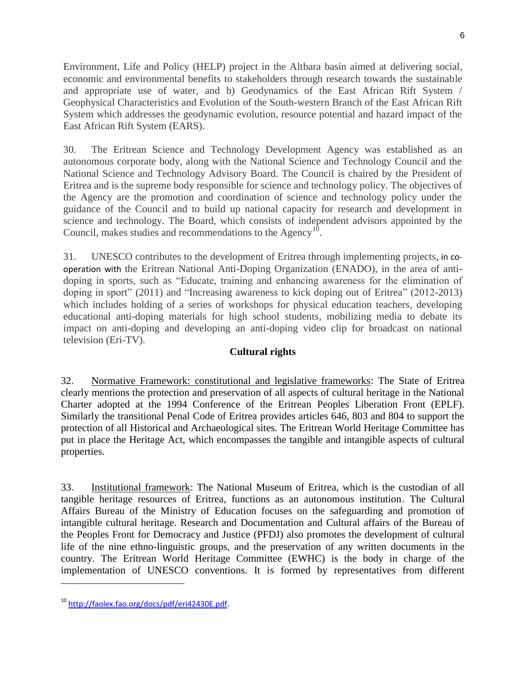Environment, Life and Policy (HELP) project in the Altbara basin aimed at delivering social, economic and environmental benefits to stakeholders through research towards the sustainable and appropriate use of water, and b) Geodynamics of the East African Rift System / Geophysical Characteristics and Evolution of the South-western Branch of the East African Rift System which addresses the geodynamic evolution, resource potential and hazard impact of the East African Rift System (EARS).

30. The Eritrean Science and Technology Development Agency was established as an autonomous corporate body, along with the National Science and Technology Council and the National Science and Technology Advisory Board. The Council is chaired by the President of Eritrea and is the supreme body responsible for science and technology policy. The objectives of the Agency are the promotion and coordination of science and technology policy under the guidance of the Council and to build up national capacity for research and development in science and technology. The Board, which consists of independent advisors appointed by the Council, makes studies and recommendations to the  $\text{Agency}^{10}$ .

31. UNESCO contributes to the development of Eritrea through implementing projects, in cooperation with the Eritrean National Anti-Doping Organization (ENADO), in the area of antidoping in sports, such as "Educate, training and enhancing awareness for the elimination of doping in sport" (2011) and "Increasing awareness to kick doping out of Eritrea" (2012-2013) which includes holding of a series of workshops for physical education teachers, developing educational anti-doping materials for high school students, mobilizing media to debate its impact on anti-doping and developing an anti-doping video clip for broadcast on national television (Eri-TV).

### **Cultural rights**

32. Normative Framework: constitutional and legislative frameworks: The State of Eritrea clearly mentions the protection and preservation of all aspects of cultural heritage in the National Charter adopted at the 1994 Conference of the Eritrean Peoples Liberation Front (EPLF). Similarly the transitional Penal Code of Eritrea provides articles 646, 803 and 804 to support the protection of all Historical and Archaeological sites. The Eritrean World Heritage Committee has put in place the Heritage Act, which encompasses the tangible and intangible aspects of cultural properties.

33. Institutional framework: The National Museum of Eritrea, which is the custodian of all tangible heritage resources of Eritrea, functions as an autonomous institution. The Cultural Affairs Bureau of the Ministry of Education focuses on the safeguarding and promotion of intangible cultural heritage. Research and Documentation and Cultural affairs of the Bureau of the Peoples Front for Democracy and Justice (PFDJ) also promotes the development of cultural life of the nine ethno-linguistic groups, and the preservation of any written documents in the country. The Eritrean World Heritage Committee (EWHC) is the body in charge of the implementation of UNESCO conventions. It is formed by representatives from different

l

<sup>10</sup> [http://faolex.fao.org/docs/pdf/eri42430E.pdf.](http://faolex.fao.org/docs/pdf/eri42430E.pdf)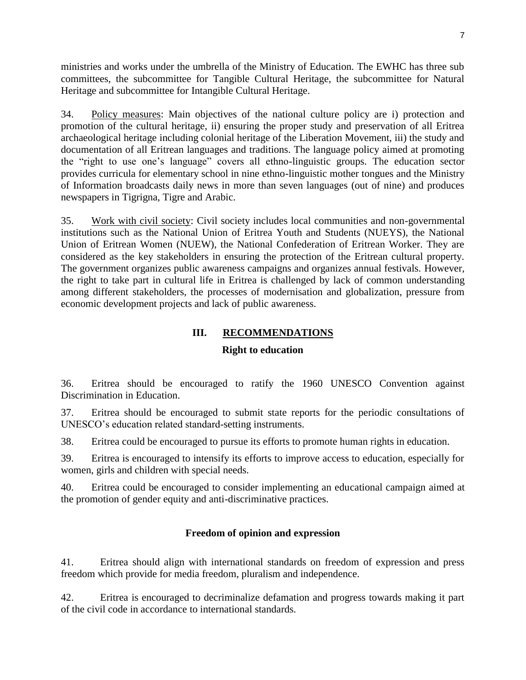ministries and works under the umbrella of the Ministry of Education. The EWHC has three sub committees, the subcommittee for Tangible Cultural Heritage, the subcommittee for Natural Heritage and subcommittee for Intangible Cultural Heritage.

34. Policy measures: Main objectives of the national culture policy are i) protection and promotion of the cultural heritage, ii) ensuring the proper study and preservation of all Eritrea archaeological heritage including colonial heritage of the Liberation Movement, iii) the study and documentation of all Eritrean languages and traditions. The language policy aimed at promoting the "right to use one's language" covers all ethno-linguistic groups. The education sector provides curricula for elementary school in nine ethno-linguistic mother tongues and the Ministry of Information broadcasts daily news in more than seven languages (out of nine) and produces newspapers in Tigrigna, Tigre and Arabic.

35. Work with civil society: Civil society includes local communities and non-governmental institutions such as the National Union of Eritrea Youth and Students (NUEYS), the National Union of Eritrean Women (NUEW), the National Confederation of Eritrean Worker. They are considered as the key stakeholders in ensuring the protection of the Eritrean cultural property. The government organizes public awareness campaigns and organizes annual festivals. However, the right to take part in cultural life in Eritrea is challenged by lack of common understanding among different stakeholders, the processes of modernisation and globalization, pressure from economic development projects and lack of public awareness.

# **III. RECOMMENDATIONS**

#### **Right to education**

36. Eritrea should be encouraged to ratify the 1960 UNESCO Convention against Discrimination in Education.

37. Eritrea should be encouraged to submit state reports for the periodic consultations of UNESCO's education related standard-setting instruments.

38. Eritrea could be encouraged to pursue its efforts to promote human rights in education.

39. Eritrea is encouraged to intensify its efforts to improve access to education, especially for women, girls and children with special needs.

40. Eritrea could be encouraged to consider implementing an educational campaign aimed at the promotion of gender equity and anti-discriminative practices.

### **Freedom of opinion and expression**

41. Eritrea should align with international standards on freedom of expression and press freedom which provide for media freedom, pluralism and independence.

42. Eritrea is encouraged to decriminalize defamation and progress towards making it part of the civil code in accordance to international standards.